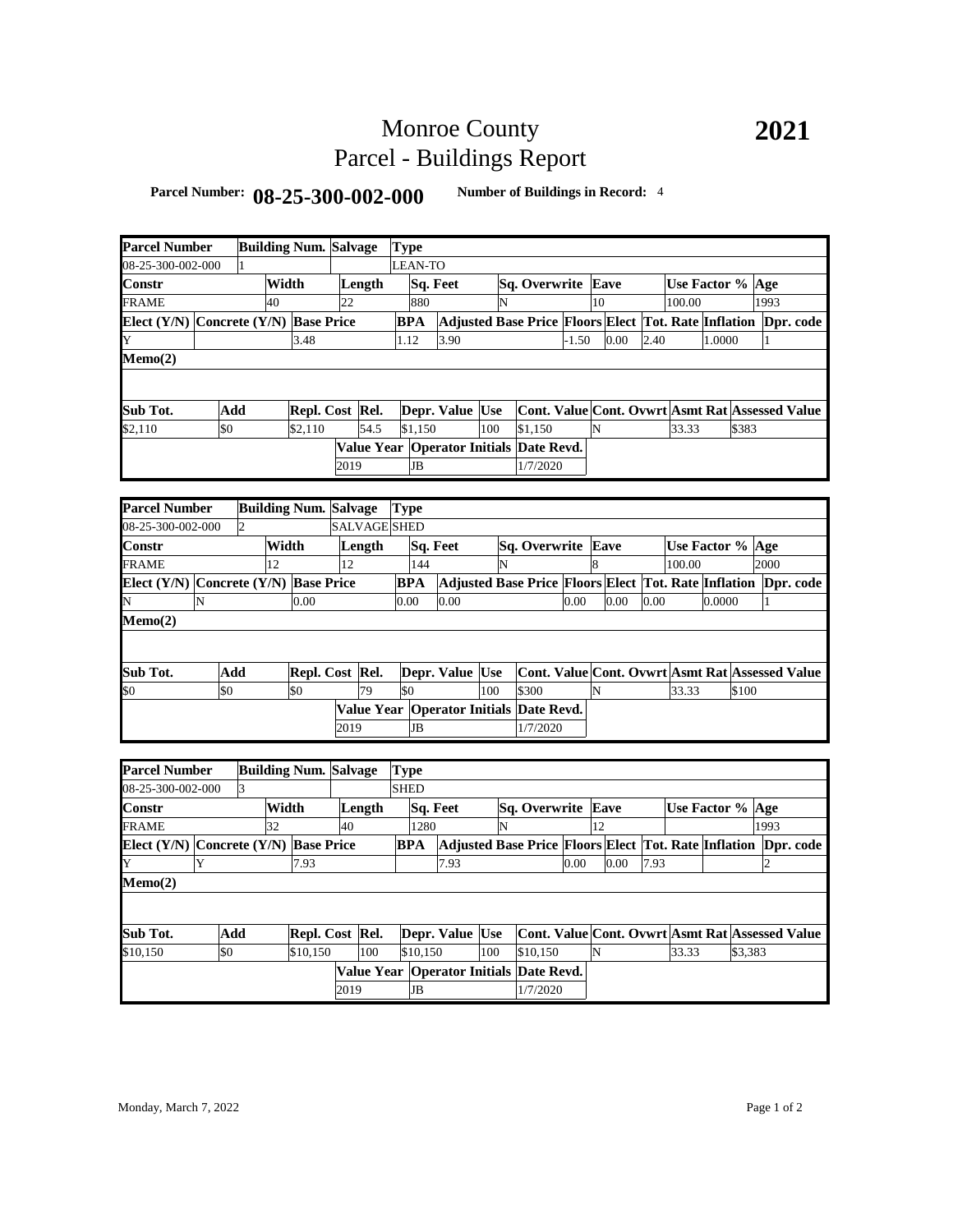# Monroe County Parcel - Buildings Report

### **Parcel Number: 08-25-300-002-000 Number of Buildings in Record:** <sup>4</sup>

| <b>Parcel Number</b>                  |     |                |       | <b>Building Num. Salvage</b> |      |                     | <b>Type</b> |            |                                                                |     |                                                 |         |    |                                                 |      |                  |        |         |      |  |
|---------------------------------------|-----|----------------|-------|------------------------------|------|---------------------|-------------|------------|----------------------------------------------------------------|-----|-------------------------------------------------|---------|----|-------------------------------------------------|------|------------------|--------|---------|------|--|
| 08-25-300-002-000                     |     |                |       |                              |      |                     |             | LEAN-TO    |                                                                |     |                                                 |         |    |                                                 |      |                  |        |         |      |  |
| Constr                                |     |                | Width |                              |      | Length              |             |            | Sq. Feet                                                       |     | Sq. Overwrite Eave                              |         |    |                                                 |      | Use Factor % Age |        |         |      |  |
| FRAME                                 |     |                | 40    |                              | 22   |                     |             | 880        |                                                                | N   |                                                 |         | 10 |                                                 |      | 100.00           |        |         | 1993 |  |
| Elect (Y/N) Concrete (Y/N) Base Price |     |                |       |                              |      |                     |             | <b>BPA</b> | Adjusted Base Price Floors Elect Tot. Rate Inflation Dpr. code |     |                                                 |         |    |                                                 |      |                  |        |         |      |  |
| Y                                     |     |                |       | 3.48                         |      |                     | 1.12        |            | 3.90                                                           |     |                                                 | $-1.50$ |    | 0.00                                            | 2.40 |                  | 1.0000 |         | 1    |  |
| Memo(2)                               |     |                |       |                              |      |                     |             |            |                                                                |     |                                                 |         |    |                                                 |      |                  |        |         |      |  |
|                                       |     |                |       |                              |      |                     |             |            |                                                                |     |                                                 |         |    |                                                 |      |                  |        |         |      |  |
|                                       |     |                |       |                              |      |                     |             |            |                                                                |     |                                                 |         |    |                                                 |      |                  |        |         |      |  |
| Sub Tot.                              |     | Add            |       | Repl. Cost Rel.              |      |                     |             |            | Depr. Value Use                                                |     | Cont. Value Cont. Ovwrt Asmt Rat Assessed Value |         |    |                                                 |      |                  |        |         |      |  |
| \$2,110                               | \$0 |                |       | \$2,110                      |      | 54.5                |             | \$1,150    |                                                                | 100 | \$1,150                                         |         | N  |                                                 |      | 33.33            |        | \$383   |      |  |
|                                       |     |                |       |                              |      |                     |             |            | Value Year Operator Initials Date Revd.                        |     |                                                 |         |    |                                                 |      |                  |        |         |      |  |
|                                       |     |                |       |                              | 2019 |                     |             | <b>JB</b>  |                                                                |     | 1/7/2020                                        |         |    |                                                 |      |                  |        |         |      |  |
|                                       |     |                |       |                              |      |                     |             |            |                                                                |     |                                                 |         |    |                                                 |      |                  |        |         |      |  |
| <b>Parcel Number</b>                  |     |                |       | <b>Building Num. Salvage</b> |      |                     | <b>Type</b> |            |                                                                |     |                                                 |         |    |                                                 |      |                  |        |         |      |  |
| 08-25-300-002-000                     |     | $\mathfrak{2}$ |       |                              |      | <b>SALVAGE SHED</b> |             |            |                                                                |     |                                                 |         |    |                                                 |      |                  |        |         |      |  |
| Constr                                |     |                | Width |                              |      | Length              |             |            | Sq. Feet                                                       |     | Sq. Overwrite Eave                              |         |    |                                                 |      | Use Factor % Age |        |         |      |  |
| FRAME                                 |     |                | 12    |                              | 12   |                     |             | 144        |                                                                | N   |                                                 |         | 8  |                                                 |      | 100.00           |        |         | 2000 |  |
| Elect (Y/N) Concrete (Y/N) Base Price |     |                |       |                              |      |                     |             | <b>BPA</b> | Adjusted Base Price Floors Elect Tot. Rate Inflation Dpr. code |     |                                                 |         |    |                                                 |      |                  |        |         |      |  |
| N                                     | N   |                |       | 0.00                         |      |                     | 0.00        |            | 0.00                                                           |     |                                                 | 0.00    |    | 0.00                                            | 0.00 |                  | 0.0000 |         | 1    |  |
| Memo(2)                               |     |                |       |                              |      |                     |             |            |                                                                |     |                                                 |         |    |                                                 |      |                  |        |         |      |  |
|                                       |     |                |       |                              |      |                     |             |            |                                                                |     |                                                 |         |    |                                                 |      |                  |        |         |      |  |
|                                       |     |                |       |                              |      |                     |             |            |                                                                |     |                                                 |         |    |                                                 |      |                  |        |         |      |  |
| Sub Tot.                              |     | Add            |       | Repl. Cost Rel.              |      |                     |             |            | Depr. Value Use                                                |     | Cont. Value Cont. Ovwrt Asmt Rat Assessed Value |         |    |                                                 |      |                  |        |         |      |  |
| \$0                                   | \$0 |                |       | \$0                          |      | 79                  | \$0         |            |                                                                | 100 | \$300                                           |         | N  |                                                 |      | 33.33            |        | \$100   |      |  |
|                                       |     |                |       |                              |      |                     |             |            | Value Year Operator Initials Date Revd.                        |     |                                                 |         |    |                                                 |      |                  |        |         |      |  |
|                                       |     |                |       |                              | 2019 |                     |             | JB         |                                                                |     | 1/7/2020                                        |         |    |                                                 |      |                  |        |         |      |  |
|                                       |     |                |       |                              |      |                     |             |            |                                                                |     |                                                 |         |    |                                                 |      |                  |        |         |      |  |
| <b>Parcel Number</b>                  |     |                |       | <b>Building Num. Salvage</b> |      |                     | <b>Type</b> |            |                                                                |     |                                                 |         |    |                                                 |      |                  |        |         |      |  |
| 08-25-300-002-000                     |     | 3              |       |                              |      |                     | <b>SHED</b> |            |                                                                |     |                                                 |         |    |                                                 |      |                  |        |         |      |  |
| Constr                                |     |                | Width |                              |      | Length              |             |            | Sq. Feet                                                       |     | Sq. Overwrite Eave                              |         |    |                                                 |      | Use Factor % Age |        |         |      |  |
| FRAME                                 |     |                | 32    |                              | 40   |                     |             | 1280       |                                                                | N   |                                                 |         | 12 |                                                 |      |                  |        |         | 1993 |  |
| Elect (Y/N) Concrete (Y/N) Base Price |     |                |       |                              |      |                     |             | BPA        | Adjusted Base Price Floors Elect Tot. Rate Inflation Dpr. code |     |                                                 |         |    |                                                 |      |                  |        |         |      |  |
| Y                                     | Y   |                |       | 7.93                         |      |                     |             |            | 7.93                                                           |     |                                                 | 0.00    |    | 0.00                                            | 7.93 |                  |        |         |      |  |
| Memo(2)                               |     |                |       |                              |      |                     |             |            |                                                                |     |                                                 |         |    |                                                 |      |                  |        |         |      |  |
|                                       |     |                |       |                              |      |                     |             |            |                                                                |     |                                                 |         |    |                                                 |      |                  |        |         |      |  |
|                                       |     |                |       |                              |      |                     |             |            |                                                                |     |                                                 |         |    |                                                 |      |                  |        |         |      |  |
| Sub Tot.                              |     | Add            |       | Repl. Cost Rel.              |      |                     |             |            | Depr. Value Use                                                |     |                                                 |         |    | Cont. Value Cont. Ovwrt Asmt Rat Assessed Value |      |                  |        |         |      |  |
| \$10,150                              | \$0 |                |       | \$10,150                     |      | 100                 |             | \$10,150   |                                                                | 100 | \$10,150                                        |         | N  |                                                 |      | 33.33            |        | \$3,383 |      |  |
|                                       |     |                |       |                              |      |                     |             |            | Value Year Operator Initials Date Revd.                        |     |                                                 |         |    |                                                 |      |                  |        |         |      |  |
|                                       |     |                |       |                              | 2019 |                     |             | <b>JB</b>  |                                                                |     | 1/7/2020                                        |         |    |                                                 |      |                  |        |         |      |  |